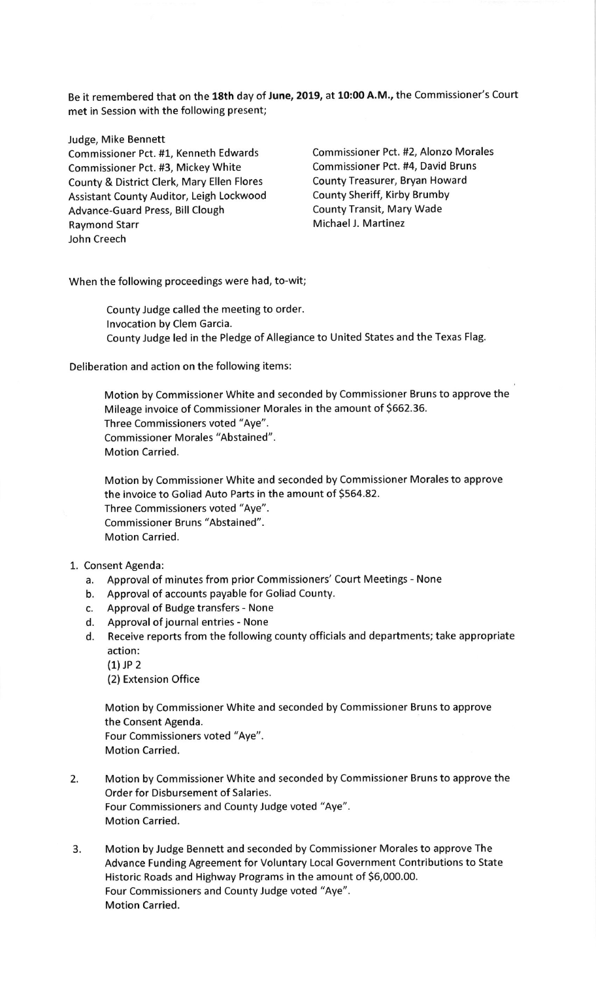Be it remembered that on the 18th day of June, 2019, at 10:00 A.M., the Commissioner's Court met in Session with the following present;

Judge, Mike Bennett

Commissioner Pct. #3, Mickey White Commissioner Pct. #4, David Bruns<br>County & District Clerk. Mary Ellen Flores County Treasurer, Bryan Howard County & District Clerk, Mary Ellen Flores Assistant County Auditor, Leigh Lockwood County Sheriff, Kirby Brumby Advance-Guard Press, Bill Clough County Transit, Mary Wade Raymond Starr Michael J. Martinez John Creech

Commissioner Pct. #1, Kenneth Edwards Commissioner Pct. #2, Alonzo Morales

When the following proceedings were had, to-wit;

County Judge called the meeting to order. lnvocation by Clem Garcia. County Judge led in the Pledge of Allegiance to United States and the Texas Fla8.

Deliberation and action on the following items:

Motion by Commissioner White and seconded by Commissioner Bruns to approve the Mileage invoice of Commissioner Morales in the amount of 5662.36. Three Commissioners voted "Aye". Commissioner Morales "Abstained". Motion Carried.

Motion by Commissioner White and seconded by Commissioner Morales to approve the invoice to Goliad Auto Parts in the amount of 5564.82. Three Commissioners voted "Aye". Commissioner Bruns "Abstained". Motion Carried.

## 1. Consent Agenda:

- a. Approval of minutes from prior Commissioners'Court Meetings None
- b. Approval of accounts payable for Goliad County.
- c. Approval of Budge transfers None
- d. Approval of journal entries None
- d. Receive reports from the following county officials and departments; take appropriate action:
	- $(1)$  JP 2
	- (2) Extension Office

Motion by Commissioner White and seconded by Commissioner Bruns to approve the Consent Agenda. Four Commissioners voted "Aye". Motion Carried.

- 2. Motion by Commissioner White and seconded by Commissioner Bruns to approve the Order for Disbursement of Salaries. Four Commissioners and County Judge voted "Aye". Motion Carried.
- 3. Motion by Judge Bennett and seconded by Commissioner Morales to approve The Advance Funding Agreement for Voluntary Local Government Contributions to State Historic Roads and Highway Programs in the amount of 56,000.00. Four Commissioners and County Judge voted "Aye". Motion Carried.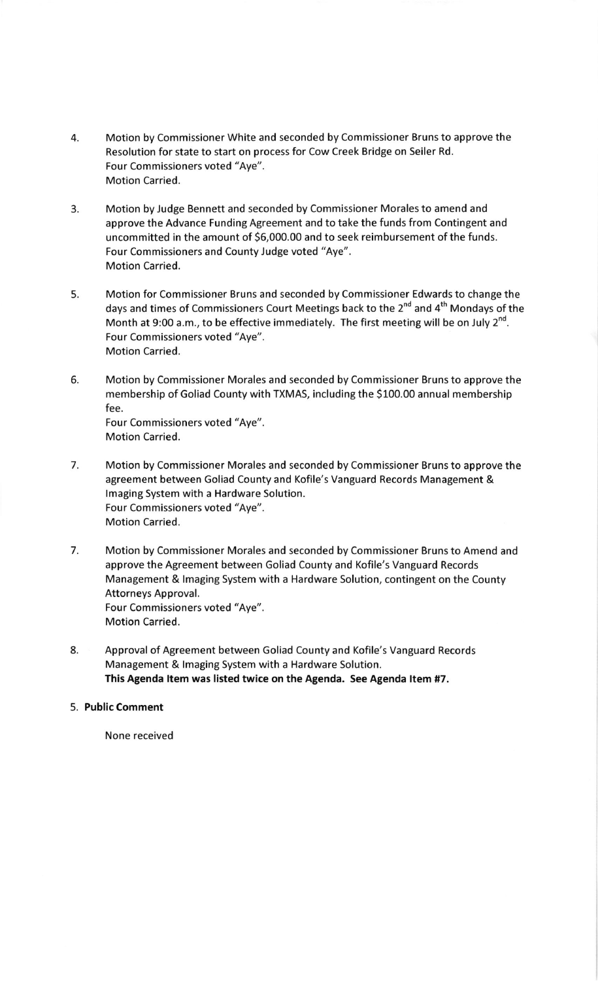- 4. Motion by Commissioner White and seconded by Commissioner Bruns to approve the Resolution for state to start on process for Cow Creek Bridge on Seiler Rd. Four Commissioners voted "Aye". Motion Carried.
- 3. Motion by Judge Bennett and seconded by Commissioner Morales to amend and approve the Advance Funding Agreement and to take the funds from Contingent and uncommitted in the amount of 56,000.00 and to seek reimbursement of the funds. Four Commissioners and County Judge voted "Aye". Motion Carried.
- 5. Motion for Commissioner Bruns and seconded by Commissioner Edwards to change the days and times of Commissioners Court Meetings back to the 2<sup>nd</sup> and 4<sup>th</sup> Mondays of the Month at 9:00 a.m., to be effective immediately. The first meeting will be on July  $2^{nd}$ . Four Commissioners voted "Aye". Motion Carried.
- 6. Motion by Commissioner Morales and seconded by Commissioner Bruns to approve the membership of Goliad County with TXMAS, including the \$100.00 annual membership fee. Four Commissioners voted "Aye". Motion Carried.
- 7. Motion by Commissioner Morales and seconded by Commissioner Bruns to approve the agreement between Goliad County and Kofile's Vanguard Records Management & lmaging System with a Hardware Solution. Four Commissioners voted "Aye". Motion Carried.
- 7. Motion by Commissioner Morales and seconded by Commissioner Bruns to Amend and approve the Agreement between Goliad County and Kofile's Vanguard Records Management & lmaging System with a Hardware Solution, contingent on the County Attorneys Approval. Four Commissioners voted "Aye". Motion Carried.
- 8. Approval of Agreement between Goliad County and Kofile's Vanguard Records Management & lmaging System with a Hardware Solution. This Agenda ltem was listed twice on the Agenda. See Agenda ltem #7.
- 5. Public Comment

None received